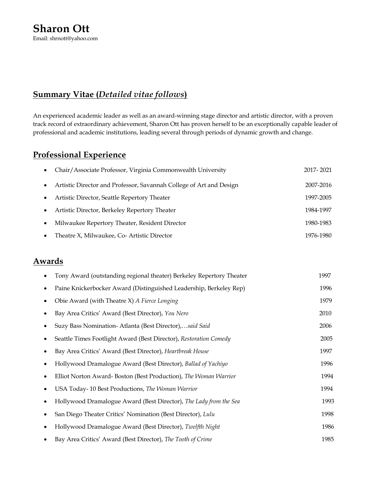## **Summary Vitae (***Detailed vitae follows***)**

An experienced academic leader as well as an award-winning stage director and artistic director, with a proven track record of extraordinary achievement, Sharon Ott has proven herself to be an exceptionally capable leader of professional and academic institutions, leading several through periods of dynamic growth and change.

# **Professional Experience**

|           | Chair/Associate Professor, Virginia Commonwealth University         | 2017-2021 |
|-----------|---------------------------------------------------------------------|-----------|
| $\bullet$ | Artistic Director and Professor, Savannah College of Art and Design | 2007-2016 |
| $\bullet$ | Artistic Director, Seattle Repertory Theater                        | 1997-2005 |
| $\bullet$ | Artistic Director, Berkeley Repertory Theater                       | 1984-1997 |
| $\bullet$ | Milwaukee Repertory Theater, Resident Director                      | 1980-1983 |
| $\bullet$ | Theatre X, Milwaukee, Co- Artistic Director                         | 1976-1980 |

## **Awards**

| Tony Award (outstanding regional theater) Berkeley Repertory Theater | 1997 |
|----------------------------------------------------------------------|------|
| Paine Knickerbocker Award (Distinguished Leadership, Berkeley Rep)   | 1996 |
| Obie Award (with Theatre X) A Fierce Longing                         | 1979 |
| Bay Area Critics' Award (Best Director), You Nero                    | 2010 |
| Suzy Bass Nomination- Atlanta (Best Director),said Said              | 2006 |
| Seattle Times Footlight Award (Best Director), Restoration Comedy    | 2005 |
| Bay Area Critics' Award (Best Director), Heartbreak House            | 1997 |
| Hollywood Dramalogue Award (Best Director), Ballad of Yachiyo        | 1996 |
| Elliot Norton Award-Boston (Best Production), The Woman Warrior      | 1994 |
| USA Today-10 Best Productions, The Woman Warrior                     | 1994 |
| Hollywood Dramalogue Award (Best Director), The Lady from the Sea    | 1993 |
| San Diego Theater Critics' Nomination (Best Director), Lulu          | 1998 |
| Hollywood Dramalogue Award (Best Director), Twelfth Night            | 1986 |
| Bay Area Critics' Award (Best Director), The Tooth of Crime          | 1985 |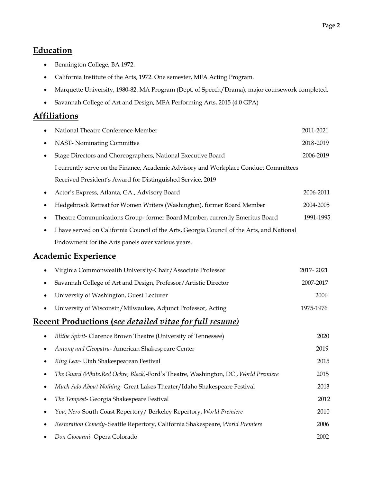## **Education**

- Bennington College, BA 1972.
- California Institute of the Arts, 1972. One semester, MFA Acting Program.
- Marquette University, 1980-82. MA Program (Dept. of Speech/Drama), major coursework completed.
- Savannah College of Art and Design, MFA Performing Arts, 2015 (4.0 GPA)

## **Affiliations**

|           | National Theatre Conference-Member                                                         | 2011-2021 |
|-----------|--------------------------------------------------------------------------------------------|-----------|
| ٠         | NAST-Nominating Committee                                                                  | 2018-2019 |
| $\bullet$ | Stage Directors and Choreographers, National Executive Board                               | 2006-2019 |
|           | I currently serve on the Finance, Academic Advisory and Workplace Conduct Committees       |           |
|           | Received President's Award for Distinguished Service, 2019                                 |           |
| $\bullet$ | Actor's Express, Atlanta, GA., Advisory Board                                              | 2006-2011 |
| $\bullet$ | Hedgebrook Retreat for Women Writers (Washington), former Board Member                     | 2004-2005 |
| ٠         | Theatre Communications Group-former Board Member, currently Emeritus Board                 | 1991-1995 |
| $\bullet$ | I have served on California Council of the Arts, Georgia Council of the Arts, and National |           |
|           | Endowment for the Arts panels over various years.                                          |           |
|           | <b>Academic Experience</b>                                                                 |           |
| $\bullet$ | Virginia Commonwealth University-Chair/Associate Professor                                 | 2017-2021 |
|           | Savannah College of Art and Design, Professor/Artistic Director                            | 2007-2017 |
| $\bullet$ | University of Washington, Guest Lecturer                                                   | 2006      |
|           | University of Wisconsin/Milwaukee, Adjunct Professor, Acting                               | 1975-1976 |
|           | Recent Productions (see detailed vitae for full resume)                                    |           |
|           | Blithe Spirit- Clarence Brown Theatre (University of Tennessee)                            | 2020      |
| $\bullet$ | Antony and Cleopatra- American Shakespeare Center                                          | 2019      |
| $\bullet$ | King Lear- Utah Shakespearean Festival                                                     | 2015      |
| $\bullet$ | The Guard (White, Red Ochre, Black)-Ford's Theatre, Washington, DC, World Premiere         | 2015      |
|           | Much Ado About Nothing- Great Lakes Theater/Idaho Shakespeare Festival                     | 2013      |

• *The Tempest-* Georgia Shakespeare Festival2012 • *You, Nero-*South Coast Repertory/ Berkeley Repertory, *World Premiere* 2010 • *Restoration Comedy-* Seattle Repertory, California Shakespeare, *World Premiere* 2006 • *Don Giovanni-* Opera Colorado 2002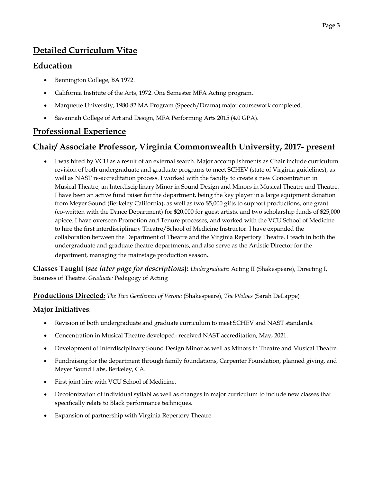# **Detailed Curriculum Vitae**

## **Education**

- Bennington College, BA 1972.
- California Institute of the Arts, 1972. One Semester MFA Acting program.
- Marquette University, 1980-82 MA Program (Speech/Drama) major coursework completed.
- Savannah College of Art and Design, MFA Performing Arts 2015 (4.0 GPA).

# **Professional Experience**

# **Chair/ Associate Professor, Virginia Commonwealth University, 2017- present**

• I was hired by VCU as a result of an external search. Major accomplishments as Chair include curriculum revision of both undergraduate and graduate programs to meet SCHEV (state of Virginia guidelines), as well as NAST re-accreditation process. I worked with the faculty to create a new Concentration in Musical Theatre, an Interdisciplinary Minor in Sound Design and Minors in Musical Theatre and Theatre. I have been an active fund raiser for the department, being the key player in a large equipment donation from Meyer Sound (Berkeley California), as well as two \$5,000 gifts to support productions, one grant (co-written with the Dance Department) for \$20,000 for guest artists, and two scholarship funds of \$25,000 apiece. I have overseen Promotion and Tenure processes, and worked with the VCU School of Medicine to hire the first interdisciplinary Theatre/School of Medicine Instructor. I have expanded the collaboration between the Department of Theatre and the Virginia Repertory Theatre. I teach in both the undergraduate and graduate theatre departments, and also serve as the Artistic Director for the department, managing the mainstage production season**.**

**Classes Taught (***see later page for descriptions***):** *Undergraduate*: Acting II (Shakespeare), Directing I, Business of Theatre. *Graduate:* Pedagogy of Acting

**Productions Directed**: *The Two Gentlemen of Verona* (Shakespeare), *The Wolves* (Sarah DeLappe)

## **Major Initiatives**:

- Revision of both undergraduate and graduate curriculum to meet SCHEV and NAST standards.
- Concentration in Musical Theatre developed- received NAST accreditation, May, 2021.
- Development of Interdisciplinary Sound Design Minor as well as Minors in Theatre and Musical Theatre.
- Fundraising for the department through family foundations, Carpenter Foundation, planned giving, and Meyer Sound Labs, Berkeley, CA.
- First joint hire with VCU School of Medicine.
- Decolonization of individual syllabi as well as changes in major curriculum to include new classes that specifically relate to Black performance techniques.
- Expansion of partnership with Virginia Repertory Theatre.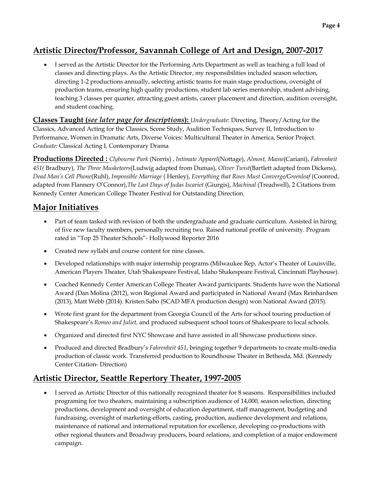# **Artistic Director/Professor, Savannah College of Art and Design, 2007-2017**

• I served as the Artistic Director for the Performing Arts Department as well as teaching a full load of classes and directing plays. As the Artistic Director, my responsibilities included season selection, directing 1-2 productions annually, selecting artistic teams for main stage productions, oversight of production teams, ensuring high quality productions, student lab series mentorship, student advising, teaching 3 classes per quarter, attracting guest artists, career placement and direction, audition oversight, and student coaching.

**Classes Taught (***see later page for descriptions***):** *Undergraduate*: Directing, Theory/Acting for the Classics, Advanced Acting for the Classics, Scene Study, Audition Techniques, Survey II, Introduction to Performance, Women in Dramatic Arts, Diverse Voices: Multicultural Theater in America, Senior Project. *Graduate:* Classical Acting I, Contemporary Drama

**Productions Directed :** *Clybourne Park* (Norris) , *Intimate Apparel*(Nottage), *Almost, Maine*(Cariani), *Fahrenheit 451(* Bradbury), *The Three Musketeers*(Ludwig adapted from Dumas), *Oliver Twist*(Bartlett adapted from Dickens), *Dead Man's Cell Phone*(Ruhl), *Impossible Marriage* ( Henley), *Everything that Rises Must Converge/Greenleaf* (Coonrod, adapted from Flannery O'Connor),*The Last Days of Judas Iscariot* (Giurgis), *Machinal* (Treadwell), 2 Citations from Kennedy Center American College Theater Festival for Outstanding Direction.

## **Major Initiatives**

- Part of team tasked with revision of both the undergraduate and graduate curriculum. Assisted in hiring of five new faculty members, personally recruiting two. Raised national profile of university. Program rated in "Top 25 Theater Schools"- Hollywood Reporter 2016
- Created new syllabi and course content for nine classes.
- Developed relationships with major internship programs (Milwaukee Rep, Actor's Theater of Louisville, American Players Theater, Utah Shakespeare Festival, Idaho Shakespeare Festival, Cincinnati Playhouse).
- Coached Kennedy Center American College Theater Award participants. Students have won the National Award (Dan Molina (2012), won Regional Award and participated in National Award (Max Reinhardsen (2013), Matt Webb (2014). Kristen Sabo (SCAD MFA production design) won National Award (2015).
- Wrote first grant for the department from Georgia Council of the Arts for school touring production of Shakespeare's *Romeo and Juliet,* and produced subsequent school tours of Shakespeare to local schools.
- Organized and directed first NYC Showcase and have assisted in all Showcase productions since.
- Produced and directed Bradbury's *Fahrenheit 451*, bringing together 9 departments to create multi-media production of classic work. Transferred production to Roundhouse Theater in Bethesda, Md. (Kennedy Center Citation- Direction)

## **Artistic Director, Seattle Repertory Theater, 1997-2005**

• I served as Artistic Director of this nationally recognized theater for 8 seasons. Responsibilities included programing for two theaters, maintaining a subscription audience of 14,000, season selection, directing productions, development and oversight of education department, staff management, budgeting and fundraising, oversight of marketing efforts, casting, production, audience development and relations, maintenance of national and international reputation for excellence, developing co-productions with other regional theaters and Broadway producers, board relations, and completion of a major endowment campaign.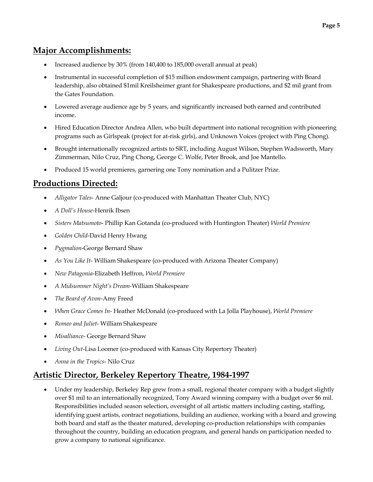## **Major Accomplishments:**

- Increased audience by 30% (from 140,400 to 185,000 overall annual at peak)
- Instrumental in successful completion of \$15 million endowment campaign, partnering with Board leadership, also obtained \$1mil Kreilsheimer grant for Shakespeare productions, and \$2 mil grant from the Gates Foundation.
- Lowered average audience age by 5 years, and significantly increased both earned and contributed income.
- Hired Education Director Andrea Allen, who built department into national recognition with pioneering programs such as Girlspeak (project for at-risk girls), and Unknown Voices (project with Ping Chong).
- Brought internationally recognized artists to SRT, including August Wilson, Stephen Wadsworth, Mary Zimmerman, Nilo Cruz, Ping Chong, George C. Wolfe, Peter Brook, and Joe Mantello.
- Produced 15 world premieres, garnering one Tony nomination and a Pulitzer Prize.

# **Productions Directed:**

- *Alligator Tales* Anne Galjour (co-produced with Manhattan Theater Club, NYC)
- *A Doll's House*-Henrik Ibsen
- *Sisters Matsumoto* Phillip Kan Gotanda (co-produced with Huntington Theater) *World Premiere*
- *Golden Child*-David Henry Hwang
- *Pygmalion*-George Bernard Shaw
- *As You Like It* William Shakespeare (co-produced with Arizona Theater Company)
- *New Patagonia*-Elizabeth Heffron, *World Premiere*
- *A Midsummer Night's Dream-*William Shakespeare
- *The Beard of Avon-*Amy Freed
- *When Grace Comes In-* Heather McDonald (co-produced with La Jolla Playhouse), *World Premiere*
- *Romeo and Juliet* William Shakespeare
- *Misalliance* George Bernard Shaw
- *Living Out*-Lisa Loomer (co-produced with Kansas City Repertory Theater)
- *Anna in the Tropics* Nilo Cruz

## **Artistic Director, Berkeley Repertory Theatre, 1984-1997**

• Under my leadership, Berkeley Rep grew from a small, regional theater company with a budget slightly over \$1 mil to an internationally recognized, Tony Award winning company with a budget over \$6 mil. Responsibilities included season selection, oversight of all artistic matters including casting, staffing, identifying guest artists, contract negotiations, building an audience, working with a board and growing both board and staff as the theater matured, developing co-production relationships with companies throughout the country, building an education program, and general hands on participation needed to grow a company to national significance.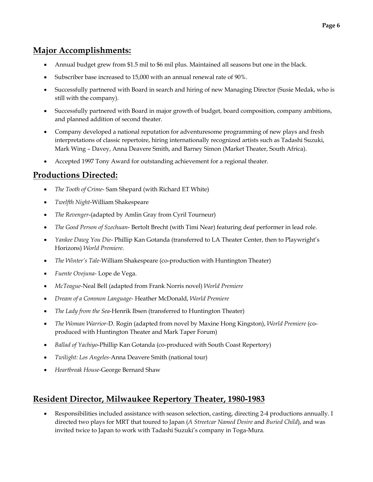## **Major Accomplishments:**

- Annual budget grew from \$1.5 mil to \$6 mil plus. Maintained all seasons but one in the black.
- Subscriber base increased to 15,000 with an annual renewal rate of 90%.
- Successfully partnered with Board in search and hiring of new Managing Director (Susie Medak, who is still with the company).
- Successfully partnered with Board in major growth of budget, board composition, company ambitions, and planned addition of second theater.
- Company developed a national reputation for adventuresome programming of new plays and fresh interpretations of classic repertoire, hiring internationally recognized artists such as Tadashi Suzuki, Mark Wing – Davey, Anna Deavere Smith, and Barney Simon (Market Theater, South Africa).
- Accepted 1997 Tony Award for outstanding achievement for a regional theater.

# **Productions Directed:**

- *The Tooth of Crime* Sam Shepard (with Richard ET White)
- *Twelfth Night*-William Shakespeare
- *The Revenger*-(adapted by Amlin Gray from Cyril Tourneur)
- *The Good Person of Szechuan* Bertolt Brecht (with Timi Near) featuring deaf performer in lead role.
- *Yankee Dawg You Die* Phillip Kan Gotanda (transferred to LA Theater Center, then to Playwright's Horizons) *World Premiere.*
- *The Winter's Tale-*William Shakespeare (co-production with Huntington Theater)
- *Fuente Ovejuna-* Lope de Vega.
- *McTeague-*Neal Bell (adapted from Frank Norris novel) *World Premiere*
- *Dream of a Common Language-* Heather McDonald, *World Premiere*
- *The Lady from the Sea-*Henrik Ibsen (transferred to Huntington Theater)
- *The Woman Warrior-*D. Rogin (adapted from novel by Maxine Hong Kingston), *World Premiere* (coproduced with Huntington Theater and Mark Taper Forum)
- *Ballad of Yachiyo*-Phillip Kan Gotanda (co-produced with South Coast Repertory)
- *Twilight: Los Angeles-*Anna Deavere Smith (national tour)
- *Heartbreak House-*George Bernard Shaw

# **Resident Director, Milwaukee Repertory Theater, 1980-1983**

• Responsibilities included assistance with season selection, casting, directing 2-4 productions annually. I directed two plays for MRT that toured to Japan (*A Streetcar Named Desire* and *Buried Child*), and was invited twice to Japan to work with Tadashi Suzuki's company in Toga-Mura.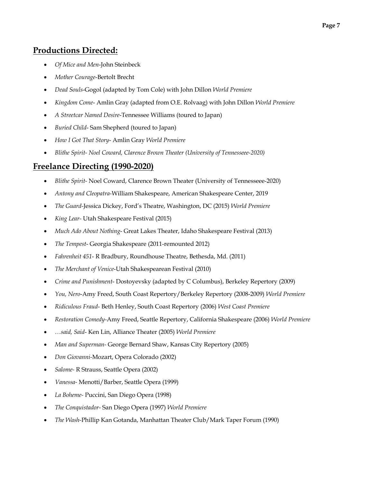## **Productions Directed:**

- *Of Mice and Men*-John Steinbeck
- *Mother Courage*-Bertolt Brecht
- *Dead Souls*-Gogol (adapted by Tom Cole) with John Dillon *World Premiere*
- *Kingdom Come* Amlin Gray (adapted from O.E. Rolvaag) with John Dillon *World Premiere*
- *A Streetcar Named Desire*-Tennessee Williams (toured to Japan)
- *Buried Child* Sam Shepherd (toured to Japan)
- *How I Got That Story* Amlin Gray *World Premiere*
- *Blithe Spirit- Noel Coward, Clarence Brown Theater (University of Tennesseee-2020)*

## **Freelance Directing (1990-2020)**

- *Blithe Spirit-* Noel Coward, Clarence Brown Theater (University of Tennesseee-2020)
- *Antony and Cleopatra-*William Shakespeare, American Shakespeare Center, 2019
- *The Guard-*Jessica Dickey, Ford's Theatre, Washington, DC (2015) *World Premiere*
- *King Lear-* Utah Shakespeare Festival (2015)
- *Much Ado About Nothing* Great Lakes Theater, Idaho Shakespeare Festival (2013)
- *The Tempest* Georgia Shakespeare (2011-remounted 2012)
- *Fahrenheit 451* R Bradbury, Roundhouse Theatre, Bethesda, Md. (2011)
- *The Merchant of Venice*-Utah Shakespearean Festival (2010)
- *Crime and Punishment* Dostoyevsky (adapted by C Columbus), Berkeley Repertory (2009)
- *You, Nero*-Amy Freed, South Coast Repertory/Berkeley Repertory (2008-2009) *World Premiere*
- *Ridiculous Fraud* Beth Henley, South Coast Repertory (2006) *West Coast Premiere*
- *Restoration Comedy-*Amy Freed, Seattle Repertory, California Shakespeare (2006) *World Premiere*
- *…said, Said* Ken Lin, Alliance Theater (2005) *World Premiere*
- *Man and Superman-* George Bernard Shaw, Kansas City Repertory (2005)
- *Don Giovanni-*Mozart, Opera Colorado (2002)
- *Salome-* R Strauss, Seattle Opera (2002)
- *Vanessa-* Menotti/Barber, Seattle Opera (1999)
- *La Boheme-* Puccini, San Diego Opera (1998)
- *The Conquistador-* San Diego Opera (1997) *World Premiere*
- *The Wash-*Phillip Kan Gotanda, Manhattan Theater Club/Mark Taper Forum (1990)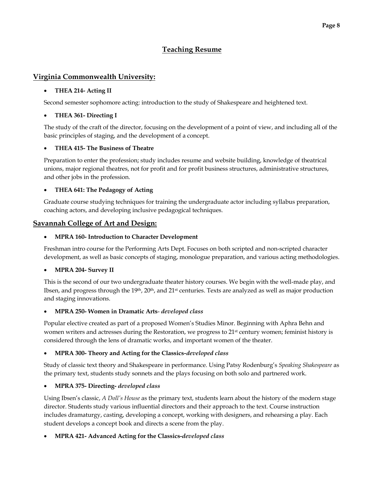## **Teaching Resume**

### **Virginia Commonwealth University:**

### • **THEA 214- Acting II**

Second semester sophomore acting: introduction to the study of Shakespeare and heightened text.

### • **THEA 361- Directing I**

The study of the craft of the director, focusing on the development of a point of view, and including all of the basic principles of staging, and the development of a concept.

### • **THEA 415- The Business of Theatre**

Preparation to enter the profession; study includes resume and website building, knowledge of theatrical unions, major regional theatres, not for profit and for profit business structures, administrative structures, and other jobs in the profession.

### • **THEA 641: The Pedagogy of Acting**

Graduate course studying techniques for training the undergraduate actor including syllabus preparation, coaching actors, and developing inclusive pedagogical techniques.

### **Savannah College of Art and Design:**

### • **MPRA 160- Introduction to Character Development**

Freshman intro course for the Performing Arts Dept. Focuses on both scripted and non-scripted character development, as well as basic concepts of staging, monologue preparation, and various acting methodologies.

#### • **MPRA 204- Survey II**

This is the second of our two undergraduate theater history courses. We begin with the well-made play, and Ibsen, and progress through the 19<sup>th</sup>, 20<sup>th</sup>, and 21<sup>st</sup> centuries. Texts are analyzed as well as major production and staging innovations.

#### • **MPRA 250- Women in Dramatic Arts**- *developed class*

Popular elective created as part of a proposed Women's Studies Minor. Beginning with Aphra Behn and women writers and actresses during the Restoration, we progress to 21<sup>st</sup> century women; feminist history is considered through the lens of dramatic works, and important women of the theater.

### • **MPRA 300- Theory and Acting for the Classics***-developed class*

Study of classic text theory and Shakespeare in performance. Using Patsy Rodenburg's *Speaking Shakespeare* as the primary text, students study sonnets and the plays focusing on both solo and partnered work.

### • **MPRA 375- Directing-** *developed class*

Using Ibsen's classic, *A Doll's House* as the primary text, students learn about the history of the modern stage director. Students study various influential directors and their approach to the text. Course instruction includes dramaturgy, casting, developing a concept, working with designers, and rehearsing a play. Each student develops a concept book and directs a scene from the play.

### • **MPRA 421- Advanced Acting for the Classics-***developed class*